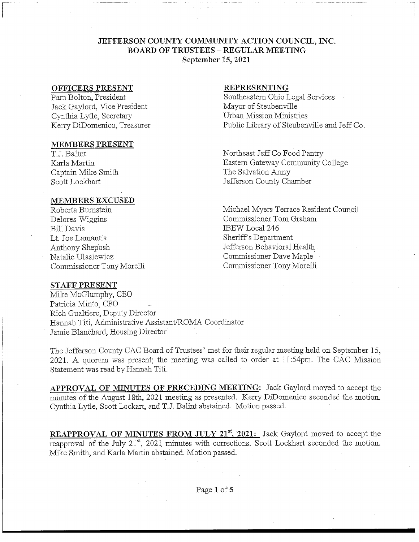## **JEFFERSON COUNTY COMMUNITY ACTION COUNCIL, INC. BOARD OF TRUSTEES - REGULAR MEETING September 15, 2021**

#### **OFFICERS PRESENT**

Pam Bolton, President Jack Gaylord, Vice President Cynthia Lytle, Secretary Kerry DiDomenico, Treasurer

#### **MEMBERS PRESENT**

TJ. Balint Karla Martin Captain Mike Smith Scott Lockhart

#### **MEMBERS EXCUSED**

Roberta Burnstein Delores Wiggins Bill Davis Lt. Joe Lamantia Anthony Shep'osh Natalie Ulasiewicz Commissioner Tony Morelli

### **REPRESENTING**

Southeastern Ohio Legal Services Mayor of Steubenville Urban Mission Ministries Public Library of Steubenville and Jeff Co.

Northeast Jeff Co Food Pantry Eastern Gateway Community College The Salvation Army Jefferson County Chamber

Michael Myers Terrace Resident Council Commissioner Tom Graham IBEW Local 246 Sheriff's Department Jefferson Behavioral Health Commissioner Dave Maple Commissioner Tony Morelli

### STAFF **PRESENT**

Mike McGlumphy, CEO Patricia Minto, CFO Rich Gualtiere, Deputy Director Hannah Titi, Administrative Assistant/ROMA Coordinator Jamie Blanchard, Housing Director

The Jefferson County CAC Board of Trustees' met for their regular meeting held on September 15, 2021. A quorum was present; the meeting was called to order at ll:54pm. The CAC Mission Statement was read by Hannah Titi.

**APPROVAL OF** MINUTES **OF PRECEDING MEETING:** Jack Gaylord moved to accept the minutes of the August 18th, 2021 meeting as presented. Kerry DiDomenico seconded the motion. Cynthia Lytle, Scott Lockart, and TJ. Balint abstained. Motion passed.

**REAPPROVAL OF MINUTES FROM JULY 21<sup>st</sup>**, 2021: Jack Gaylord moved to accept the reapproval of the July 21<sup>st</sup>, 2021 minutes with corrections. Scott Lockhart seconded the motion. Mike Smith, and Karla Martin abstained. Motion passed.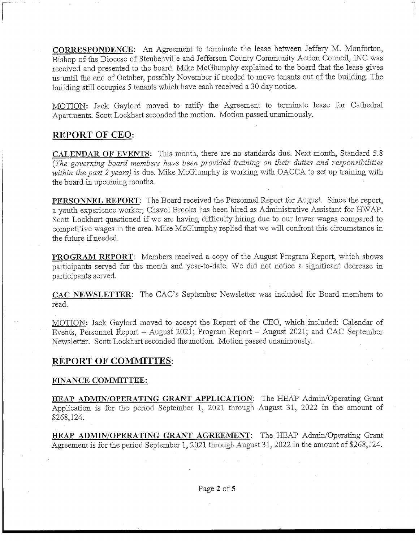**CORRESPONDENCE:** An Agreement to terminate the lease between Jeffery M. Monforton, Bishop of the Diocese of Steubenville and Jefferson County Community Action Council, INC was received and presented to the board. Mike McGlumphy explained to the board that the lease gives us until the end of October, possibly November if needed to move tenants out of the building. The building still occupies 5 tenants which have each received a 30 day notice.

MOTION: Jack Gaylord moved to ratify the Agreement to terminate lease for Cathedral Apartments. Scott Lockhart seconded the motion. Motion passed unanimously.

# **REPORT OF CEO:**

**CALENDAR OF** EVENTS: This month, there are no standards due. Next month, Standard 5.8 *(The governing board members have been provided training on their duties and responsibilities •within the past 2 years)* is due. Mike McGlumphy is working with OACCA to set up training with the board in upcoming months.

**PERSONNEL REPORT:** The Board received the Personnel Report for August. Since the report, a youth experience worker; Chavoi Brooks has been hired as Administrative Assistant for HWAP. Scott Lockhart questioned if we are having difficulty hiring due to our lower wages compared to competitive wages in the area. Mike McGlumphy replied that we will confront this circumstance in the future if needed.

**PROGRAM REPORT:** Members received a copy of the August Program Report, which shows participants served for the month and year-to-date. We did not notice a significant decrease in participants served.

**CAC NEWSLETTER:** The CAC's September Newsletter was included for Board members to read.

MOTION: Jack Gaylord moved to accept the Report of the CEO, which included: Calendar of Events, Personnel Report - August 2021; Program Report - August 2021; and CAC September Newsletter. Scott Lockhart seconded the motion. Motion passed unanimously.

# **REPORT OF COMMITTES**

# FINANCE **COMMITTEE:**

**HEAP ADMIN/OPERATING GRANT APPLICATION:** The HEAP Admin/Operating Grant Application is for the period September 1, 2021 through August 31, 2022 in the amount of \$268,124.

**HEAP ADMIN/OPERATING GRANT AGREEMENT:** The HEAP Admin/Operating Grant Agreement is for the period September 1, 2021 through August 31, 2022 in the amount of \$268,124.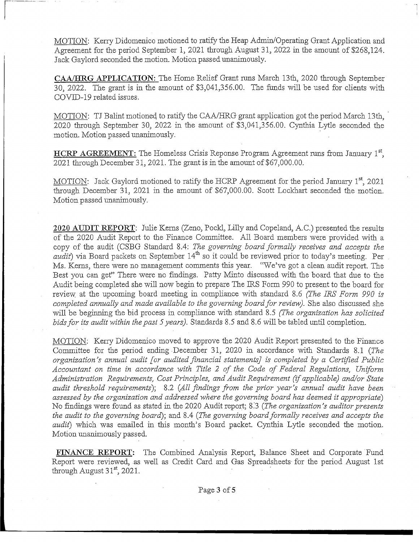MOTION: Kerry Didomenico motioned to ratify the Heap Admin/Operating Grant Application and Agreement for the period September 1, 2021 through August 31, 2022 in the amount of \$268,124. Jack Gaylord seconded the motion. Motion passed unanimously.

CAA/HRG APPLICATION: The Home Relief Grant runs March 13th, 2020 through September 30, 2022. The grant is in the amount of \$3,041,356.00. The funds will be used for clients with COVID-19 related issues.

MOTION: TJ Balint motioned to ratify the CAA/HRG grant application got the period March 13th, 2020 through September 30, 2022 in the amount of \$3,041,356.00. Cynthia Lytle seconded the motion. Motion passed unanimously.

**HCRP AGREEMENT:** The Homeless Crisis Reponse Program Agreement runs from January 1<sup>st</sup>, 2021 through December 31, 2021. The grant is in the amount of \$67,000.00.

MOTION: Jack Gaylord motioned to ratify the HCRP Agreement for the period January 1<sup>st</sup>, 2021 through December 31, 2021 in the amount of \$67,000.00. Scott Lockhart seconded the motion. Motion passed unanimously.

2020 AUDIT REPORT: Julie Kerns (Zeno, Pockl, Lilly and Copeland, A.C.) presented the results of the 2020 Audit Report to the Finance Committee. All Board members were provided with a copy of the audit (CSBG Standard 8.4: *The governing board formally receives and accepts the audit*) via Board packets on September 14<sup>th</sup> so it could be reviewed prior to today's meeting. Per Ms. Kerns, there were no management comments this year. "We've got a clean audit report. The Best you can get" There were no findings. Patty Minto discussed with the board that due to the Audit being completed she will now begin to prepare The IRS Form 990 to present to the board for review at the upcoming board meeting in compliance with standard 8.6 *(The IRS Form 990 is completed annually and made available to the governing board for review).* She also discussed she will be beginning the bid process in compliance with standard 8.5 *(The organization has solicited bids for its audit within the past 5 years).* Standards 8.5 and 8.6 will be tabled until completion.

MOTION: Kerry Didomenico moved to approve the 2020 Audit Report presented to the Finance Committee for the period ending-December 31, 2020 in accordance with Standards 8.1 *(The organization's annual audit [or audited financial statements] is completed by a Certified Public* Accountant on time in accordance with Title 2 of the Code of Federal Regulations, Uniform *Administration Requirements, Cost Principles, and Audit Requirement (if applicable) and/or State audit threshold requirements');* 8.2 *(All findings from the prior year's annual audit have been* assessed by the organization and addressed where the governing board has deemed it appropriate) No findings were found as stated in the 2020 Audit report; 8.'3 *(The organization's auditor presents the audit to the governing board);* and 8.4 *(The governing board formally receives and accepts the audit)* which was emailed in this month's Board packet. Cynthia Lytle seconded the motion. Motion unanimously passed.

FINANCE REPORT: The Combined Analysis Report, Balance Sheet and Corporate Fund Report were reviewed, as well as Credit Card and Gas Spreadsheets for the period August 1st through August  $31<sup>st</sup>$ , 2021.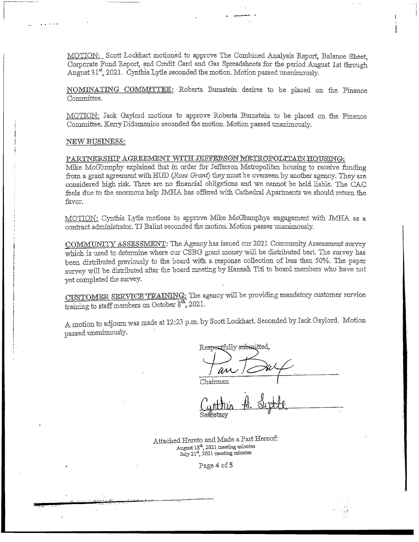MOTION: Scott Lockhart motioned to approve The Combined Analysis Report, Balance Sheet, Corporate Fund Report, and Credit Card and Gas Spreadsheets for the period August 1st through August 31<sup>st</sup>, 2021. Cynthia Lytle seconded the motion. Motion passed unanimously.

NOMINATING COMMITTEE: Roberta Bumstein desires to be placed on the Finance Committee.

MOTION: Jack Gaylord motions to approve Roberta Burnstein to be placed on the Finance Committee. Kerry Didomenico seconded the motion. Motion passed unanimously.

#### NEW BUSINESS:

PARTNERSHIP AGREEMENT WITH JEFFERSON METROPOLITAIN HOUSING.

Mike McGlumphy explained that in order for Jefferson Metropolitan housing to receive funding from a grant agreement with HUD *(Ross Grant)* they must be overseen by another agency. They are considered high risk. There are no financial obligations and we cannot be held liable. The CAC feels due to the enormous help JMHA has offered with Cathedral Apartments we should return the favor,

MOTION: Cynthia Lytle motions to approve Mike McGlumphys engagement with JMHA as a contract administrator, TJ Balint seconded the motion. Motion passes unanimously.

COMMUNITY ASSESSMENT: The Agency has issued our 2021 Community Assessment survey which is used to determine where our CSBG grant money will be distributed best. The survey has been distributed previously to the board with a response collection of less than 50%. The paper survey will be distributed after the board meeting by Hannah Titi to board members who have not yet completed the survey.

CUSTOMER SERVICE TRAINING: The agency will be providing mandatory customer service training to staff members on October  $\delta^{th}$ , 2021.

A motion to adjourn was made at 12:23 p.m. by Scott tockhart. Seconded by Jack Gaylord. Motion passed unanimously.

Respectfully subsaitted,

Chairman

Attached Hereto and Made a Part Hereof: August 18<sup>th</sup>, 2021 meeting minutes July 21st, 2021 meeting minutes

Page *4* of 5